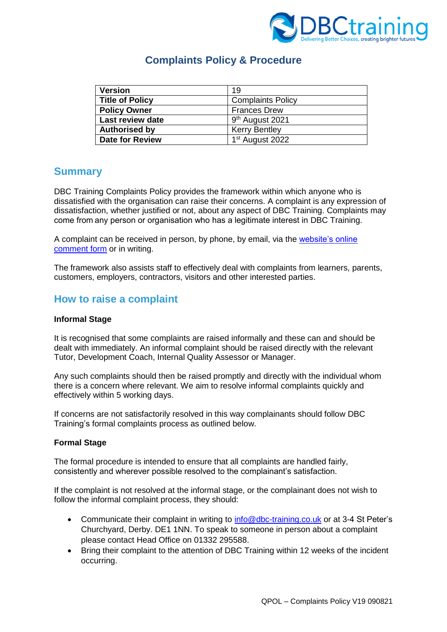

# **Complaints Policy & Procedure**

| <b>Version</b>         | 19                          |
|------------------------|-----------------------------|
| <b>Title of Policy</b> | <b>Complaints Policy</b>    |
| <b>Policy Owner</b>    | <b>Frances Drew</b>         |
| Last review date       | 9 <sup>th</sup> August 2021 |
| <b>Authorised by</b>   | <b>Kerry Bentley</b>        |
| <b>Date for Review</b> | 1 <sup>st</sup> August 2022 |

### **Summary**

DBC Training Complaints Policy provides the framework within which anyone who is dissatisfied with the organisation can raise their concerns. A complaint is any expression of dissatisfaction, whether justified or not, about any aspect of DBC Training. Complaints may come from any person or organisation who has a legitimate interest in DBC Training.

A complaint can be received in person, by phone, by email, via the [website's online](file:///C:/Users/Frances%20Drew/AppData/Local/Microsoft/Windows/INetCache/Content.Outlook/FMAHX1A8/Contact%20|%20DBC%20Training%20(dbc-training.co.uk))  [comment form](file:///C:/Users/Frances%20Drew/AppData/Local/Microsoft/Windows/INetCache/Content.Outlook/FMAHX1A8/Contact%20|%20DBC%20Training%20(dbc-training.co.uk)) or in writing.

The framework also assists staff to effectively deal with complaints from learners, parents, customers, employers, contractors, visitors and other interested parties.

### **How to raise a complaint**

#### **Informal Stage**

It is recognised that some complaints are raised informally and these can and should be dealt with immediately. An informal complaint should be raised directly with the relevant Tutor, Development Coach, Internal Quality Assessor or Manager.

Any such complaints should then be raised promptly and directly with the individual whom there is a concern where relevant. We aim to resolve informal complaints quickly and effectively within 5 working days.

If concerns are not satisfactorily resolved in this way complainants should follow DBC Training's formal complaints process as outlined below.

#### **Formal Stage**

The formal procedure is intended to ensure that all complaints are handled fairly, consistently and wherever possible resolved to the complainant's satisfaction.

If the complaint is not resolved at the informal stage, or the complainant does not wish to follow the informal complaint process, they should:

- Communicate their complaint in writing to [info@dbc-training.co.uk](mailto:info@dbc-training.co.uk) or at 3-4 St Peter's Churchyard, Derby. DE1 1NN. To speak to someone in person about a complaint please contact Head Office on 01332 295588.
- Bring their complaint to the attention of DBC Training within 12 weeks of the incident occurring.